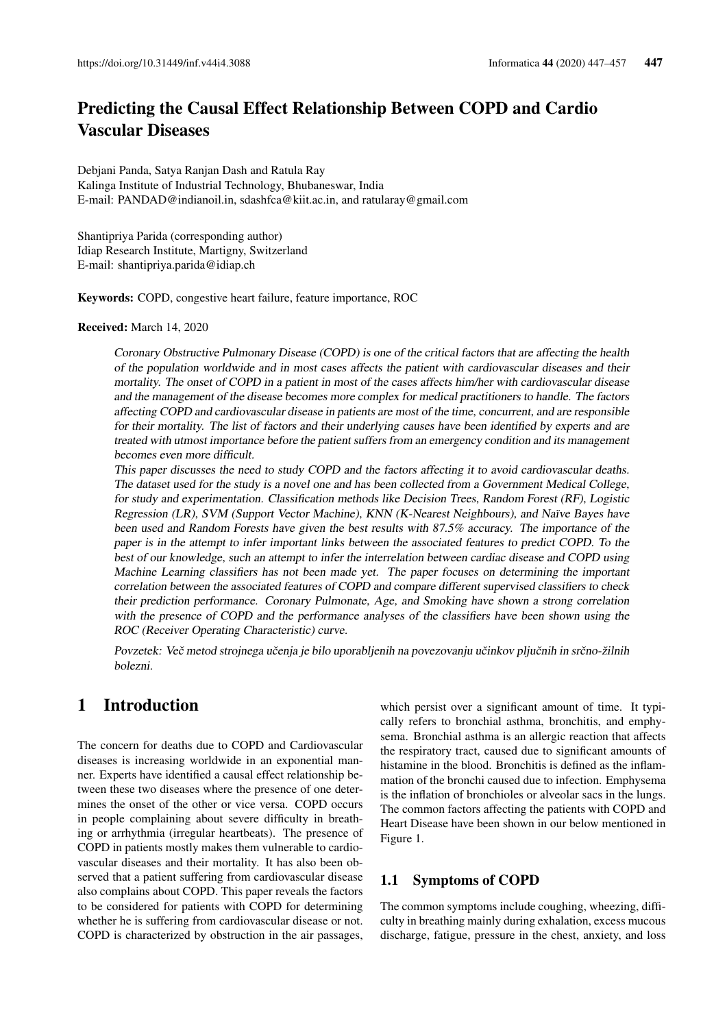# Predicting the Causal Effect Relationship Between COPD and Cardio Vascular Diseases

Debjani Panda, Satya Ranjan Dash and Ratula Ray Kalinga Institute of Industrial Technology, Bhubaneswar, India E-mail: PANDAD@indianoil.in, sdashfca@kiit.ac.in, and ratularay@gmail.com

Shantipriya Parida (corresponding author) Idiap Research Institute, Martigny, Switzerland E-mail: shantipriya.parida@idiap.ch

Keywords: COPD, congestive heart failure, feature importance, ROC

#### Received: March 14, 2020

Coronary Obstructive Pulmonary Disease (COPD) is one of the critical factors that are affecting the health of the population worldwide and in most cases affects the patient with cardiovascular diseases and their mortality. The onset of COPD in a patient in most of the cases affects him/her with cardiovascular disease and the management of the disease becomes more complex for medical practitioners to handle. The factors affecting COPD and cardiovascular disease in patients are most of the time, concurrent, and are responsible for their mortality. The list of factors and their underlying causes have been identified by experts and are treated with utmost importance before the patient suffers from an emergency condition and its management becomes even more difficult.

This paper discusses the need to study COPD and the factors affecting it to avoid cardiovascular deaths. The dataset used for the study is a novel one and has been collected from a Government Medical College, for study and experimentation. Classification methods like Decision Trees, Random Forest (RF), Logistic Regression (LR), SVM (Support Vector Machine), KNN (K-Nearest Neighbours), and Naïve Bayes have been used and Random Forests have given the best results with 87.5% accuracy. The importance of the paper is in the attempt to infer important links between the associated features to predict COPD. To the best of our knowledge, such an attempt to infer the interrelation between cardiac disease and COPD using Machine Learning classifiers has not been made yet. The paper focuses on determining the important correlation between the associated features of COPD and compare different supervised classifiers to check their prediction performance. Coronary Pulmonate, Age, and Smoking have shown a strong correlation with the presence of COPD and the performance analyses of the classifiers have been shown using the ROC (Receiver Operating Characteristic) curve.

Povzetek: Več metod strojnega učenja je bilo uporabljenih na povezovanju učinkov pljučnih in srčno-žilnih bolezni.

# 1 Introduction

The concern for deaths due to COPD and Cardiovascular diseases is increasing worldwide in an exponential manner. Experts have identified a causal effect relationship between these two diseases where the presence of one determines the onset of the other or vice versa. COPD occurs in people complaining about severe difficulty in breathing or arrhythmia (irregular heartbeats). The presence of COPD in patients mostly makes them vulnerable to cardiovascular diseases and their mortality. It has also been observed that a patient suffering from cardiovascular disease also complains about COPD. This paper reveals the factors to be considered for patients with COPD for determining whether he is suffering from cardiovascular disease or not. COPD is characterized by obstruction in the air passages, which persist over a significant amount of time. It typically refers to bronchial asthma, bronchitis, and emphysema. Bronchial asthma is an allergic reaction that affects the respiratory tract, caused due to significant amounts of histamine in the blood. Bronchitis is defined as the inflammation of the bronchi caused due to infection. Emphysema is the inflation of bronchioles or alveolar sacs in the lungs. The common factors affecting the patients with COPD and Heart Disease have been shown in our below mentioned in Figure 1.

### 1.1 Symptoms of COPD

The common symptoms include coughing, wheezing, difficulty in breathing mainly during exhalation, excess mucous discharge, fatigue, pressure in the chest, anxiety, and loss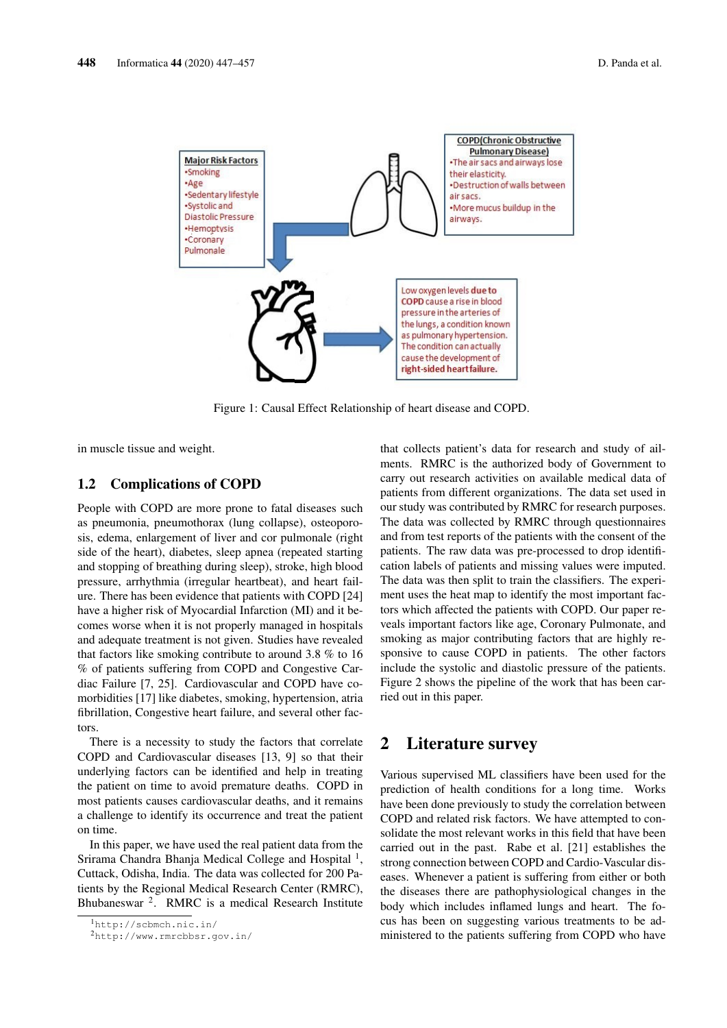

Figure 1: Causal Effect Relationship of heart disease and COPD.

in muscle tissue and weight.

#### 1.2 Complications of COPD

People with COPD are more prone to fatal diseases such as pneumonia, pneumothorax (lung collapse), osteoporosis, edema, enlargement of liver and cor pulmonale (right side of the heart), diabetes, sleep apnea (repeated starting and stopping of breathing during sleep), stroke, high blood pressure, arrhythmia (irregular heartbeat), and heart failure. There has been evidence that patients with COPD [24] have a higher risk of Myocardial Infarction (MI) and it becomes worse when it is not properly managed in hospitals and adequate treatment is not given. Studies have revealed that factors like smoking contribute to around 3.8 % to 16 % of patients suffering from COPD and Congestive Cardiac Failure [7, 25]. Cardiovascular and COPD have comorbidities [17] like diabetes, smoking, hypertension, atria fibrillation, Congestive heart failure, and several other factors.

There is a necessity to study the factors that correlate COPD and Cardiovascular diseases [13, 9] so that their underlying factors can be identified and help in treating the patient on time to avoid premature deaths. COPD in most patients causes cardiovascular deaths, and it remains a challenge to identify its occurrence and treat the patient on time.

In this paper, we have used the real patient data from the Srirama Chandra Bhanja Medical College and Hospital<sup>1</sup>, Cuttack, Odisha, India. The data was collected for 200 Patients by the Regional Medical Research Center (RMRC), Bhubaneswar<sup>2</sup>. RMRC is a medical Research Institute

that collects patient's data for research and study of ailments. RMRC is the authorized body of Government to carry out research activities on available medical data of patients from different organizations. The data set used in our study was contributed by RMRC for research purposes. The data was collected by RMRC through questionnaires and from test reports of the patients with the consent of the patients. The raw data was pre-processed to drop identification labels of patients and missing values were imputed. The data was then split to train the classifiers. The experiment uses the heat map to identify the most important factors which affected the patients with COPD. Our paper reveals important factors like age, Coronary Pulmonate, and smoking as major contributing factors that are highly responsive to cause COPD in patients. The other factors include the systolic and diastolic pressure of the patients. Figure 2 shows the pipeline of the work that has been carried out in this paper.

## 2 Literature survey

Various supervised ML classifiers have been used for the prediction of health conditions for a long time. Works have been done previously to study the correlation between COPD and related risk factors. We have attempted to consolidate the most relevant works in this field that have been carried out in the past. Rabe et al. [21] establishes the strong connection between COPD and Cardio-Vascular diseases. Whenever a patient is suffering from either or both the diseases there are pathophysiological changes in the body which includes inflamed lungs and heart. The focus has been on suggesting various treatments to be administered to the patients suffering from COPD who have

<sup>1</sup>http://scbmch.nic.in/

<sup>2</sup>http://www.rmrcbbsr.gov.in/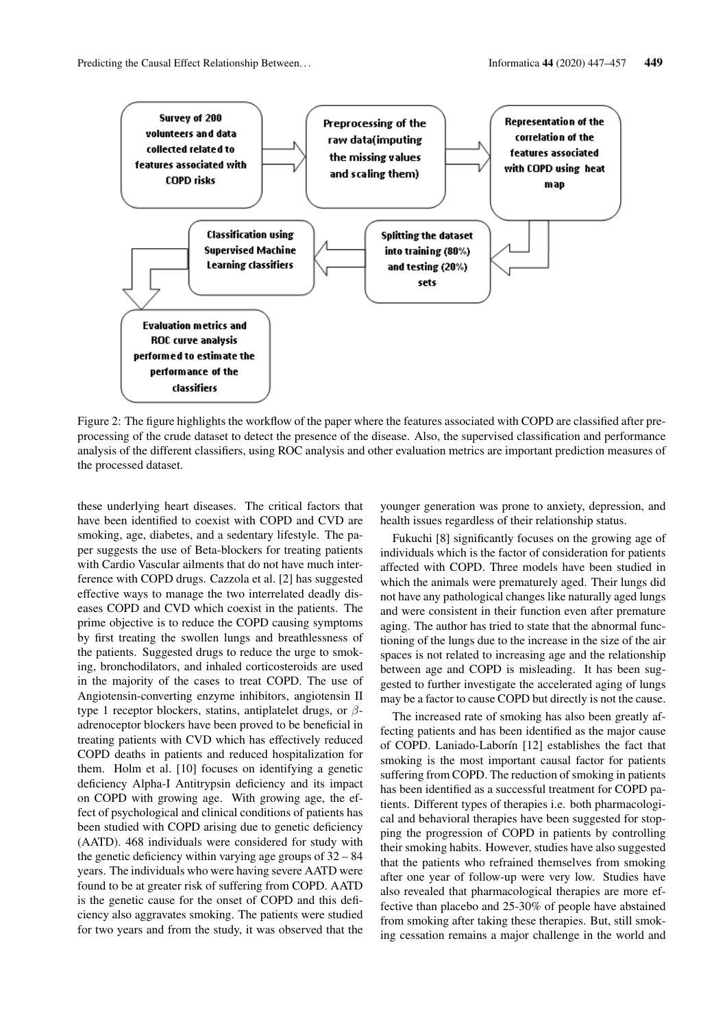

Figure 2: The figure highlights the workflow of the paper where the features associated with COPD are classified after preprocessing of the crude dataset to detect the presence of the disease. Also, the supervised classification and performance analysis of the different classifiers, using ROC analysis and other evaluation metrics are important prediction measures of the processed dataset.

these underlying heart diseases. The critical factors that have been identified to coexist with COPD and CVD are smoking, age, diabetes, and a sedentary lifestyle. The paper suggests the use of Beta-blockers for treating patients with Cardio Vascular ailments that do not have much interference with COPD drugs. Cazzola et al. [2] has suggested effective ways to manage the two interrelated deadly diseases COPD and CVD which coexist in the patients. The prime objective is to reduce the COPD causing symptoms by first treating the swollen lungs and breathlessness of the patients. Suggested drugs to reduce the urge to smoking, bronchodilators, and inhaled corticosteroids are used in the majority of the cases to treat COPD. The use of Angiotensin-converting enzyme inhibitors, angiotensin II type 1 receptor blockers, statins, antiplatelet drugs, or  $\beta$ adrenoceptor blockers have been proved to be beneficial in treating patients with CVD which has effectively reduced COPD deaths in patients and reduced hospitalization for them. Holm et al. [10] focuses on identifying a genetic deficiency Alpha-I Antitrypsin deficiency and its impact on COPD with growing age. With growing age, the effect of psychological and clinical conditions of patients has been studied with COPD arising due to genetic deficiency (AATD). 468 individuals were considered for study with the genetic deficiency within varying age groups of 32 – 84 years. The individuals who were having severe AATD were found to be at greater risk of suffering from COPD. AATD is the genetic cause for the onset of COPD and this deficiency also aggravates smoking. The patients were studied for two years and from the study, it was observed that the younger generation was prone to anxiety, depression, and health issues regardless of their relationship status.

Fukuchi [8] significantly focuses on the growing age of individuals which is the factor of consideration for patients affected with COPD. Three models have been studied in which the animals were prematurely aged. Their lungs did not have any pathological changes like naturally aged lungs and were consistent in their function even after premature aging. The author has tried to state that the abnormal functioning of the lungs due to the increase in the size of the air spaces is not related to increasing age and the relationship between age and COPD is misleading. It has been suggested to further investigate the accelerated aging of lungs may be a factor to cause COPD but directly is not the cause.

The increased rate of smoking has also been greatly affecting patients and has been identified as the major cause of COPD. Laniado-Laborín [12] establishes the fact that smoking is the most important causal factor for patients suffering from COPD. The reduction of smoking in patients has been identified as a successful treatment for COPD patients. Different types of therapies i.e. both pharmacological and behavioral therapies have been suggested for stopping the progression of COPD in patients by controlling their smoking habits. However, studies have also suggested that the patients who refrained themselves from smoking after one year of follow-up were very low. Studies have also revealed that pharmacological therapies are more effective than placebo and 25-30% of people have abstained from smoking after taking these therapies. But, still smoking cessation remains a major challenge in the world and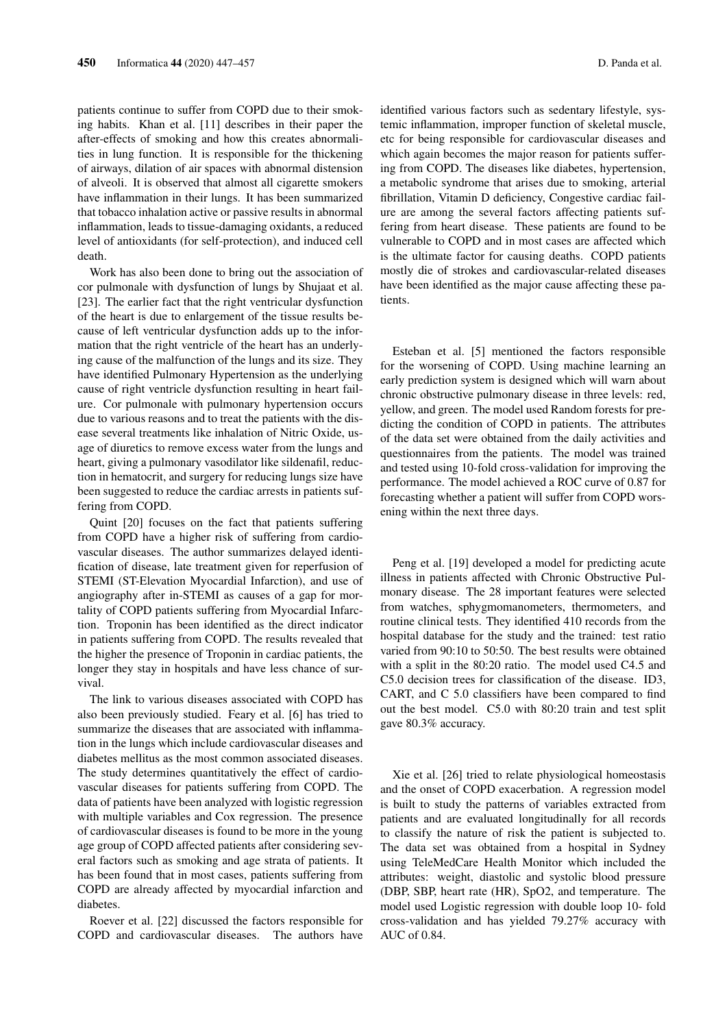patients continue to suffer from COPD due to their smoking habits. Khan et al. [11] describes in their paper the after-effects of smoking and how this creates abnormalities in lung function. It is responsible for the thickening of airways, dilation of air spaces with abnormal distension of alveoli. It is observed that almost all cigarette smokers have inflammation in their lungs. It has been summarized that tobacco inhalation active or passive results in abnormal inflammation, leads to tissue-damaging oxidants, a reduced level of antioxidants (for self-protection), and induced cell death.

Work has also been done to bring out the association of cor pulmonale with dysfunction of lungs by Shujaat et al. [23]. The earlier fact that the right ventricular dysfunction of the heart is due to enlargement of the tissue results because of left ventricular dysfunction adds up to the information that the right ventricle of the heart has an underlying cause of the malfunction of the lungs and its size. They have identified Pulmonary Hypertension as the underlying cause of right ventricle dysfunction resulting in heart failure. Cor pulmonale with pulmonary hypertension occurs due to various reasons and to treat the patients with the disease several treatments like inhalation of Nitric Oxide, usage of diuretics to remove excess water from the lungs and heart, giving a pulmonary vasodilator like sildenafil, reduction in hematocrit, and surgery for reducing lungs size have been suggested to reduce the cardiac arrests in patients suffering from COPD.

Quint [20] focuses on the fact that patients suffering from COPD have a higher risk of suffering from cardiovascular diseases. The author summarizes delayed identification of disease, late treatment given for reperfusion of STEMI (ST-Elevation Myocardial Infarction), and use of angiography after in-STEMI as causes of a gap for mortality of COPD patients suffering from Myocardial Infarction. Troponin has been identified as the direct indicator in patients suffering from COPD. The results revealed that the higher the presence of Troponin in cardiac patients, the longer they stay in hospitals and have less chance of survival.

The link to various diseases associated with COPD has also been previously studied. Feary et al. [6] has tried to summarize the diseases that are associated with inflammation in the lungs which include cardiovascular diseases and diabetes mellitus as the most common associated diseases. The study determines quantitatively the effect of cardiovascular diseases for patients suffering from COPD. The data of patients have been analyzed with logistic regression with multiple variables and Cox regression. The presence of cardiovascular diseases is found to be more in the young age group of COPD affected patients after considering several factors such as smoking and age strata of patients. It has been found that in most cases, patients suffering from COPD are already affected by myocardial infarction and diabetes.

Roever et al. [22] discussed the factors responsible for COPD and cardiovascular diseases. The authors have identified various factors such as sedentary lifestyle, systemic inflammation, improper function of skeletal muscle, etc for being responsible for cardiovascular diseases and which again becomes the major reason for patients suffering from COPD. The diseases like diabetes, hypertension, a metabolic syndrome that arises due to smoking, arterial fibrillation, Vitamin D deficiency, Congestive cardiac failure are among the several factors affecting patients suffering from heart disease. These patients are found to be vulnerable to COPD and in most cases are affected which is the ultimate factor for causing deaths. COPD patients mostly die of strokes and cardiovascular-related diseases have been identified as the major cause affecting these patients.

Esteban et al. [5] mentioned the factors responsible for the worsening of COPD. Using machine learning an early prediction system is designed which will warn about chronic obstructive pulmonary disease in three levels: red, yellow, and green. The model used Random forests for predicting the condition of COPD in patients. The attributes of the data set were obtained from the daily activities and questionnaires from the patients. The model was trained and tested using 10-fold cross-validation for improving the performance. The model achieved a ROC curve of 0.87 for forecasting whether a patient will suffer from COPD worsening within the next three days.

Peng et al. [19] developed a model for predicting acute illness in patients affected with Chronic Obstructive Pulmonary disease. The 28 important features were selected from watches, sphygmomanometers, thermometers, and routine clinical tests. They identified 410 records from the hospital database for the study and the trained: test ratio varied from 90:10 to 50:50. The best results were obtained with a split in the 80:20 ratio. The model used C4.5 and C5.0 decision trees for classification of the disease. ID3, CART, and C 5.0 classifiers have been compared to find out the best model. C5.0 with 80:20 train and test split gave 80.3% accuracy.

Xie et al. [26] tried to relate physiological homeostasis and the onset of COPD exacerbation. A regression model is built to study the patterns of variables extracted from patients and are evaluated longitudinally for all records to classify the nature of risk the patient is subjected to. The data set was obtained from a hospital in Sydney using TeleMedCare Health Monitor which included the attributes: weight, diastolic and systolic blood pressure (DBP, SBP, heart rate (HR), SpO2, and temperature. The model used Logistic regression with double loop 10- fold cross-validation and has yielded 79.27% accuracy with AUC of 0.84.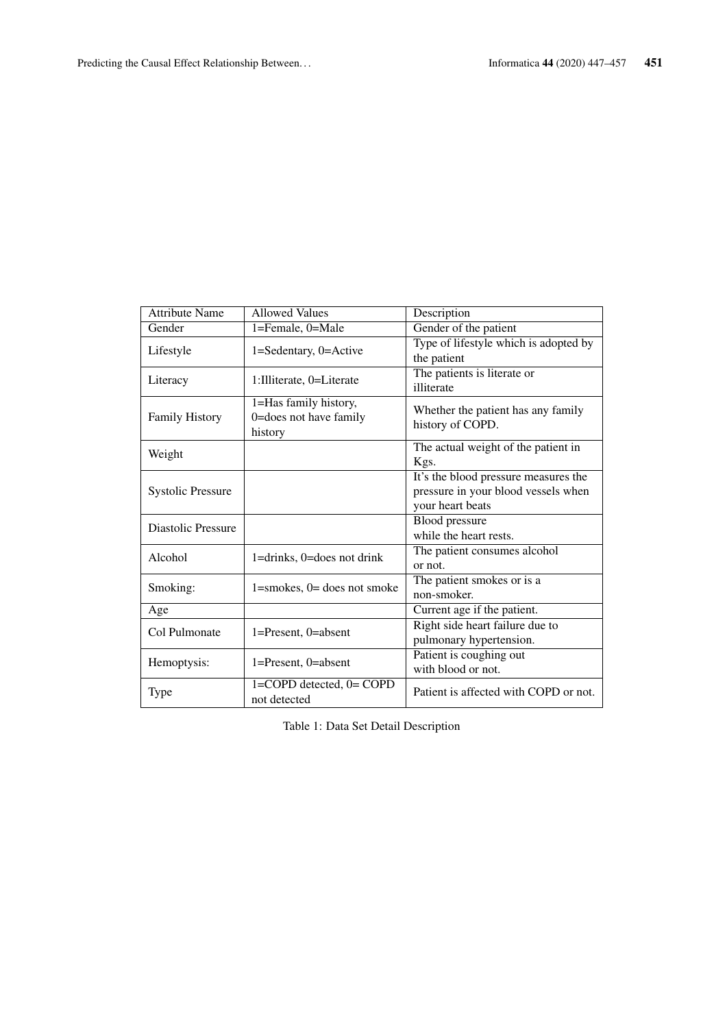| <b>Attribute Name</b>    | <b>Allowed Values</b>              | Description                                            |
|--------------------------|------------------------------------|--------------------------------------------------------|
| Gender                   | 1=Female, 0=Male                   | Gender of the patient                                  |
| Lifestyle                | 1=Sedentary, 0=Active              | Type of lifestyle which is adopted by                  |
|                          |                                    | the patient                                            |
| Literacy                 | 1: Illiterate, 0=Literate          | The patients is literate or                            |
|                          |                                    | illiterate                                             |
| <b>Family History</b>    | 1=Has family history,              |                                                        |
|                          | 0=does not have family             | Whether the patient has any family<br>history of COPD. |
|                          | history                            |                                                        |
|                          |                                    | The actual weight of the patient in                    |
| Weight                   |                                    | Kgs.                                                   |
| <b>Systolic Pressure</b> |                                    | It's the blood pressure measures the                   |
|                          |                                    | pressure in your blood vessels when                    |
|                          |                                    | your heart beats                                       |
| Diastolic Pressure       |                                    | Blood pressure                                         |
|                          |                                    | while the heart rests.                                 |
| Alcohol                  | $1 =$ drinks, $0 =$ does not drink | The patient consumes alcohol                           |
|                          |                                    | or not.                                                |
| Smoking:                 | $1 =$ smokes, $0 =$ does not smoke | The patient smokes or is a                             |
|                          |                                    | non-smoker.                                            |
| Age                      |                                    | Current age if the patient.                            |
| Col Pulmonate            | 1=Present, 0=absent                | Right side heart failure due to                        |
|                          |                                    | pulmonary hypertension.                                |
| Hemoptysis:              | 1=Present, 0=absent                | Patient is coughing out                                |
|                          |                                    | with blood or not.                                     |
| Type                     | 1=COPD detected, 0= COPD           | Patient is affected with COPD or not.                  |
|                          | not detected                       |                                                        |

Table 1: Data Set Detail Description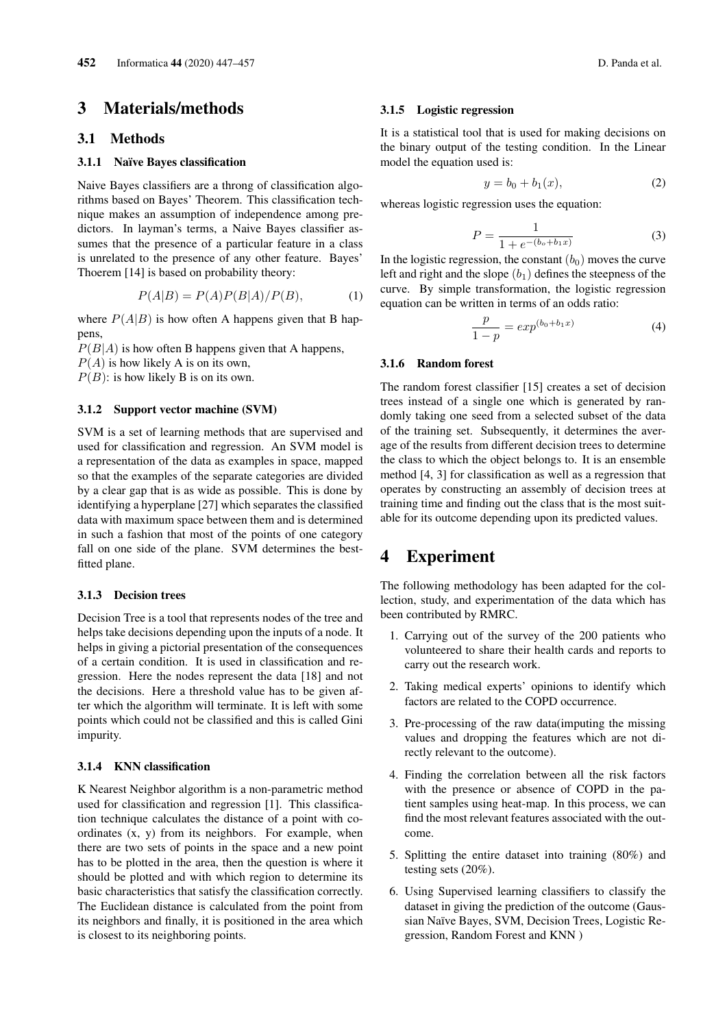## 3 Materials/methods

### 3.1 Methods

#### 3.1.1 Naïve Bayes classification

Naive Bayes classifiers are a throng of classification algorithms based on Bayes' Theorem. This classification technique makes an assumption of independence among predictors. In layman's terms, a Naive Bayes classifier assumes that the presence of a particular feature in a class is unrelated to the presence of any other feature. Bayes' Thoerem [14] is based on probability theory:

$$
P(A|B) = P(A)P(B|A)/P(B),\tag{1}
$$

where  $P(A|B)$  is how often A happens given that B happens,

 $P(B|A)$  is how often B happens given that A happens,  $P(A)$  is how likely A is on its own,

 $P(B)$ : is how likely B is on its own.

#### 3.1.2 Support vector machine (SVM)

SVM is a set of learning methods that are supervised and used for classification and regression. An SVM model is a representation of the data as examples in space, mapped so that the examples of the separate categories are divided by a clear gap that is as wide as possible. This is done by identifying a hyperplane [27] which separates the classified data with maximum space between them and is determined in such a fashion that most of the points of one category fall on one side of the plane. SVM determines the bestfitted plane.

#### 3.1.3 Decision trees

Decision Tree is a tool that represents nodes of the tree and helps take decisions depending upon the inputs of a node. It helps in giving a pictorial presentation of the consequences of a certain condition. It is used in classification and regression. Here the nodes represent the data [18] and not the decisions. Here a threshold value has to be given after which the algorithm will terminate. It is left with some points which could not be classified and this is called Gini impurity.

#### 3.1.4 KNN classification

K Nearest Neighbor algorithm is a non-parametric method used for classification and regression [1]. This classification technique calculates the distance of a point with coordinates (x, y) from its neighbors. For example, when there are two sets of points in the space and a new point has to be plotted in the area, then the question is where it should be plotted and with which region to determine its basic characteristics that satisfy the classification correctly. The Euclidean distance is calculated from the point from its neighbors and finally, it is positioned in the area which is closest to its neighboring points.

#### 3.1.5 Logistic regression

It is a statistical tool that is used for making decisions on the binary output of the testing condition. In the Linear model the equation used is:

$$
y = b_0 + b_1(x),
$$
 (2)

whereas logistic regression uses the equation:

$$
P = \frac{1}{1 + e^{-(b_o + b_1 x)}}\tag{3}
$$

In the logistic regression, the constant  $(b_0)$  moves the curve left and right and the slope  $(b_1)$  defines the steepness of the curve. By simple transformation, the logistic regression equation can be written in terms of an odds ratio:

$$
\frac{p}{1-p} = exp^{(b_0 + b_1 x)}
$$
 (4)

#### 3.1.6 Random forest

The random forest classifier [15] creates a set of decision trees instead of a single one which is generated by randomly taking one seed from a selected subset of the data of the training set. Subsequently, it determines the average of the results from different decision trees to determine the class to which the object belongs to. It is an ensemble method [4, 3] for classification as well as a regression that operates by constructing an assembly of decision trees at training time and finding out the class that is the most suitable for its outcome depending upon its predicted values.

## 4 Experiment

The following methodology has been adapted for the collection, study, and experimentation of the data which has been contributed by RMRC.

- 1. Carrying out of the survey of the 200 patients who volunteered to share their health cards and reports to carry out the research work.
- 2. Taking medical experts' opinions to identify which factors are related to the COPD occurrence.
- 3. Pre-processing of the raw data(imputing the missing values and dropping the features which are not directly relevant to the outcome).
- 4. Finding the correlation between all the risk factors with the presence or absence of COPD in the patient samples using heat-map. In this process, we can find the most relevant features associated with the outcome.
- 5. Splitting the entire dataset into training (80%) and testing sets (20%).
- 6. Using Supervised learning classifiers to classify the dataset in giving the prediction of the outcome (Gaussian Naïve Bayes, SVM, Decision Trees, Logistic Regression, Random Forest and KNN )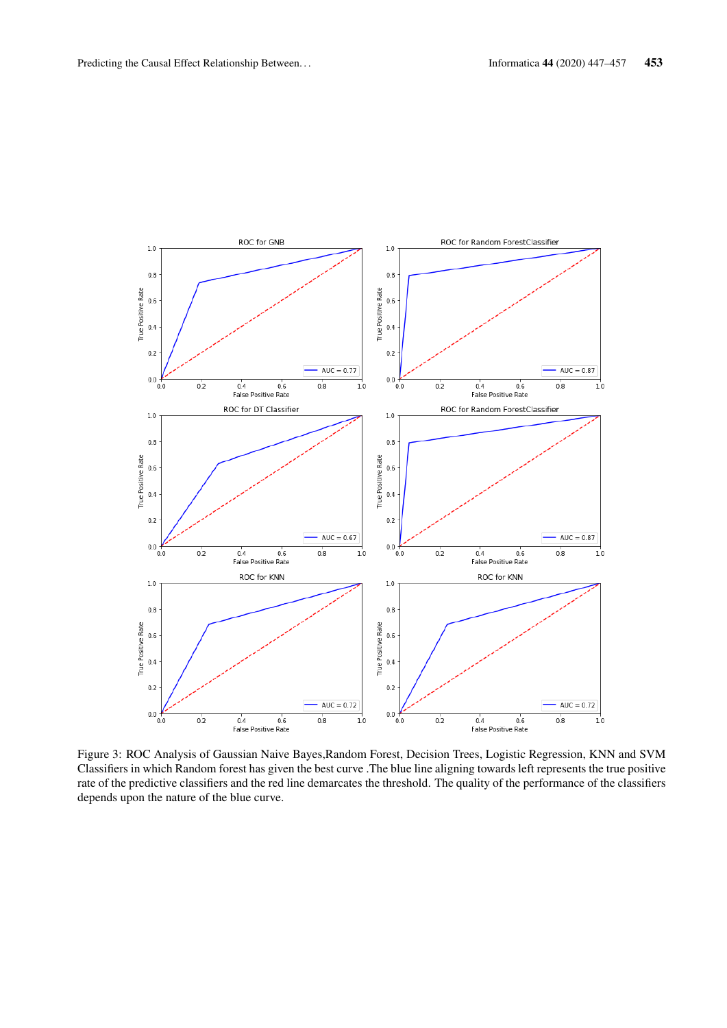

Figure 3: ROC Analysis of Gaussian Naive Bayes,Random Forest, Decision Trees, Logistic Regression, KNN and SVM Classifiers in which Random forest has given the best curve .The blue line aligning towards left represents the true positive rate of the predictive classifiers and the red line demarcates the threshold. The quality of the performance of the classifiers depends upon the nature of the blue curve.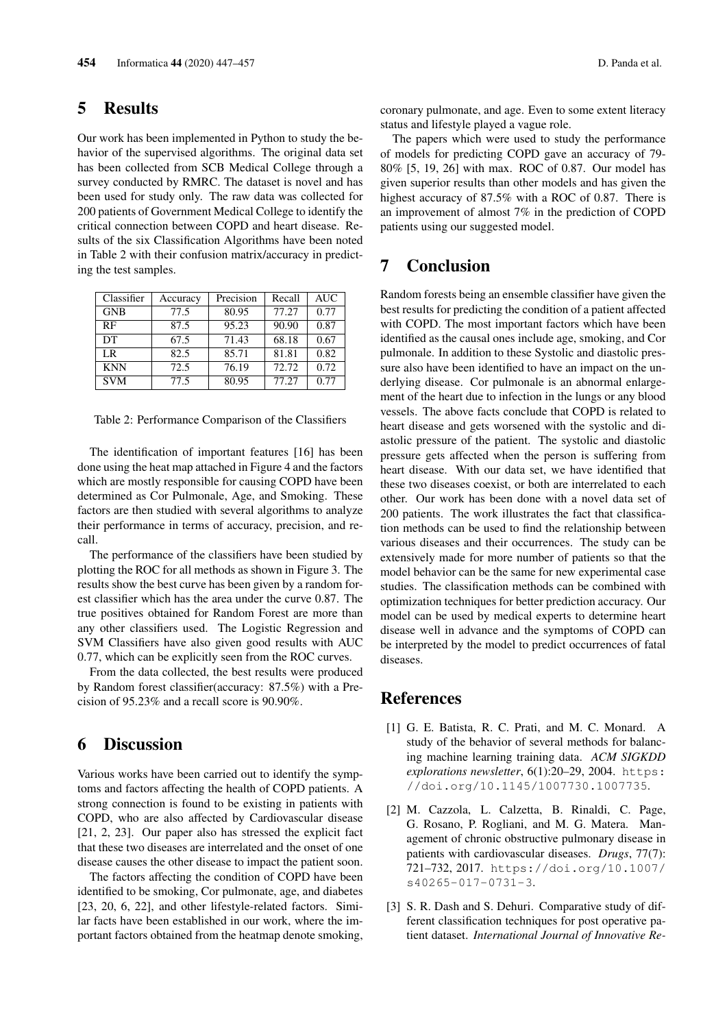## 5 Results

Our work has been implemented in Python to study the behavior of the supervised algorithms. The original data set has been collected from SCB Medical College through a survey conducted by RMRC. The dataset is novel and has been used for study only. The raw data was collected for 200 patients of Government Medical College to identify the critical connection between COPD and heart disease. Results of the six Classification Algorithms have been noted in Table 2 with their confusion matrix/accuracy in predicting the test samples.

| Classifier | Accuracy | Precision | Recall | <b>AUC</b> |
|------------|----------|-----------|--------|------------|
| <b>GNB</b> | 77.5     | 80.95     | 77.27  | 0.77       |
| RF         | 87.5     | 95.23     | 90.90  | 0.87       |
| DT         | 67.5     | 71.43     | 68.18  | 0.67       |
| LR.        | 82.5     | 85.71     | 81.81  | 0.82       |
| <b>KNN</b> | 72.5     | 76.19     | 72.72  | 0.72       |
| <b>SVM</b> | 77.5     | 80.95     | 77.27  | 0.77       |

Table 2: Performance Comparison of the Classifiers

The identification of important features [16] has been done using the heat map attached in Figure 4 and the factors which are mostly responsible for causing COPD have been determined as Cor Pulmonale, Age, and Smoking. These factors are then studied with several algorithms to analyze their performance in terms of accuracy, precision, and recall.

The performance of the classifiers have been studied by plotting the ROC for all methods as shown in Figure 3. The results show the best curve has been given by a random forest classifier which has the area under the curve 0.87. The true positives obtained for Random Forest are more than any other classifiers used. The Logistic Regression and SVM Classifiers have also given good results with AUC 0.77, which can be explicitly seen from the ROC curves.

From the data collected, the best results were produced by Random forest classifier(accuracy: 87.5%) with a Precision of 95.23% and a recall score is 90.90%.

### 6 Discussion

Various works have been carried out to identify the symptoms and factors affecting the health of COPD patients. A strong connection is found to be existing in patients with COPD, who are also affected by Cardiovascular disease [21, 2, 23]. Our paper also has stressed the explicit fact that these two diseases are interrelated and the onset of one disease causes the other disease to impact the patient soon.

The factors affecting the condition of COPD have been identified to be smoking, Cor pulmonate, age, and diabetes [23, 20, 6, 22], and other lifestyle-related factors. Similar facts have been established in our work, where the important factors obtained from the heatmap denote smoking, coronary pulmonate, and age. Even to some extent literacy status and lifestyle played a vague role.

The papers which were used to study the performance of models for predicting COPD gave an accuracy of 79- 80% [5, 19, 26] with max. ROC of 0.87. Our model has given superior results than other models and has given the highest accuracy of 87.5% with a ROC of 0.87. There is an improvement of almost 7% in the prediction of COPD patients using our suggested model.

# 7 Conclusion

Random forests being an ensemble classifier have given the best results for predicting the condition of a patient affected with COPD. The most important factors which have been identified as the causal ones include age, smoking, and Cor pulmonale. In addition to these Systolic and diastolic pressure also have been identified to have an impact on the underlying disease. Cor pulmonale is an abnormal enlargement of the heart due to infection in the lungs or any blood vessels. The above facts conclude that COPD is related to heart disease and gets worsened with the systolic and diastolic pressure of the patient. The systolic and diastolic pressure gets affected when the person is suffering from heart disease. With our data set, we have identified that these two diseases coexist, or both are interrelated to each other. Our work has been done with a novel data set of 200 patients. The work illustrates the fact that classification methods can be used to find the relationship between various diseases and their occurrences. The study can be extensively made for more number of patients so that the model behavior can be the same for new experimental case studies. The classification methods can be combined with optimization techniques for better prediction accuracy. Our model can be used by medical experts to determine heart disease well in advance and the symptoms of COPD can be interpreted by the model to predict occurrences of fatal diseases.

### **References**

- [1] G. E. Batista, R. C. Prati, and M. C. Monard. A study of the behavior of several methods for balancing machine learning training data. *ACM SIGKDD explorations newsletter*, 6(1):20–29, 2004. https: //doi.org/10.1145/1007730.1007735.
- [2] M. Cazzola, L. Calzetta, B. Rinaldi, C. Page, G. Rosano, P. Rogliani, and M. G. Matera. Management of chronic obstructive pulmonary disease in patients with cardiovascular diseases. *Drugs*, 77(7): 721–732, 2017. https://doi.org/10.1007/ s40265-017-0731-3.
- [3] S. R. Dash and S. Dehuri. Comparative study of different classification techniques for post operative patient dataset. *International Journal of Innovative Re-*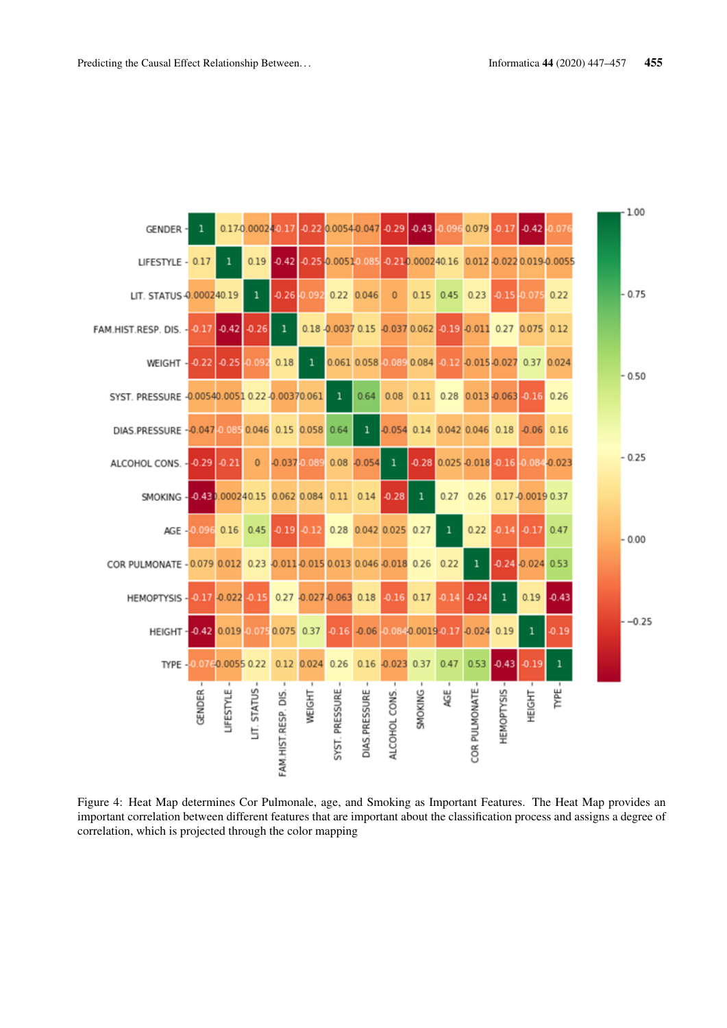

Figure 4: Heat Map determines Cor Pulmonale, age, and Smoking as Important Features. The Heat Map provides an important correlation between different features that are important about the classification process and assigns a degree of correlation, which is projected through the color mapping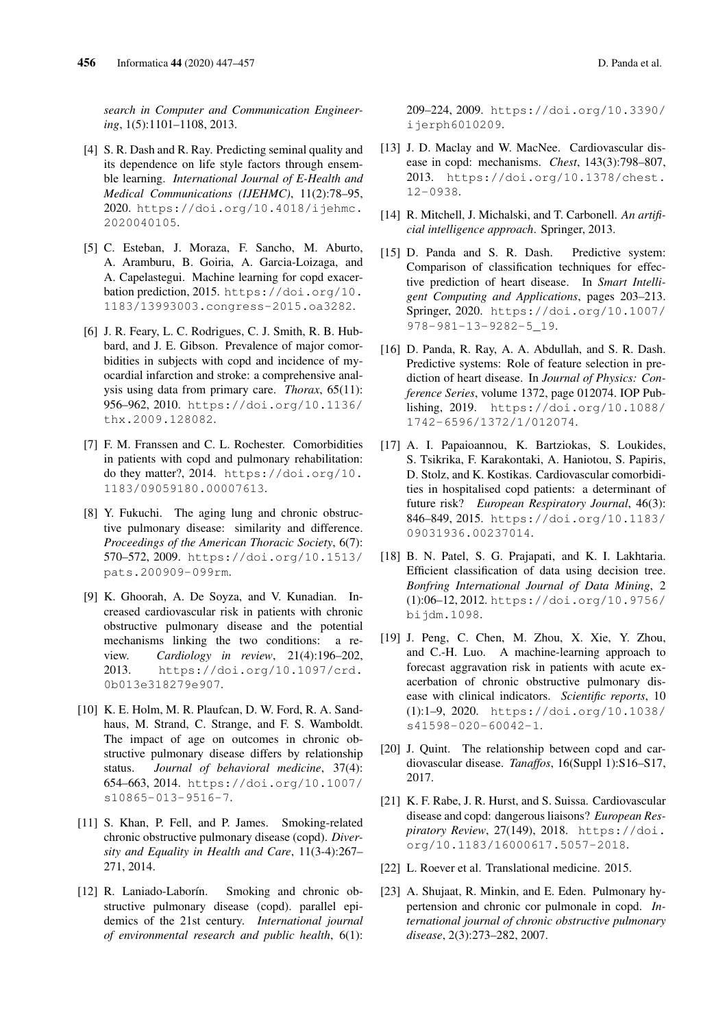*search in Computer and Communication Engineering*, 1(5):1101–1108, 2013.

- [4] S. R. Dash and R. Ray. Predicting seminal quality and its dependence on life style factors through ensemble learning. *International Journal of E-Health and Medical Communications (IJEHMC)*, 11(2):78–95, 2020. https://doi.org/10.4018/ijehmc. 2020040105.
- [5] C. Esteban, J. Moraza, F. Sancho, M. Aburto, A. Aramburu, B. Goiria, A. Garcia-Loizaga, and A. Capelastegui. Machine learning for copd exacerbation prediction, 2015. https://doi.org/10. 1183/13993003.congress-2015.oa3282.
- [6] J. R. Feary, L. C. Rodrigues, C. J. Smith, R. B. Hubbard, and J. E. Gibson. Prevalence of major comorbidities in subjects with copd and incidence of myocardial infarction and stroke: a comprehensive analysis using data from primary care. *Thorax*, 65(11): 956–962, 2010. https://doi.org/10.1136/ thx.2009.128082.
- [7] F. M. Franssen and C. L. Rochester. Comorbidities in patients with copd and pulmonary rehabilitation: do they matter?, 2014. https://doi.org/10. 1183/09059180.00007613.
- [8] Y. Fukuchi. The aging lung and chronic obstructive pulmonary disease: similarity and difference. *Proceedings of the American Thoracic Society*, 6(7): 570–572, 2009. https://doi.org/10.1513/ pats.200909-099rm.
- [9] K. Ghoorah, A. De Soyza, and V. Kunadian. Increased cardiovascular risk in patients with chronic obstructive pulmonary disease and the potential mechanisms linking the two conditions: a review. *Cardiology in review*, 21(4):196–202, 2013. https://doi.org/10.1097/crd. 0b013e318279e907.
- [10] K. E. Holm, M. R. Plaufcan, D. W. Ford, R. A. Sandhaus, M. Strand, C. Strange, and F. S. Wamboldt. The impact of age on outcomes in chronic obstructive pulmonary disease differs by relationship status. *Journal of behavioral medicine*, 37(4): 654–663, 2014. https://doi.org/10.1007/ s10865-013-9516-7.
- [11] S. Khan, P. Fell, and P. James. Smoking-related chronic obstructive pulmonary disease (copd). *Diversity and Equality in Health and Care*, 11(3-4):267– 271, 2014.
- [12] R. Laniado-Laborín. Smoking and chronic obstructive pulmonary disease (copd). parallel epidemics of the 21st century. *International journal of environmental research and public health*, 6(1):

209–224, 2009. https://doi.org/10.3390/ ijerph6010209.

- [13] J. D. Maclay and W. MacNee. Cardiovascular disease in copd: mechanisms. *Chest*, 143(3):798–807, 2013. https://doi.org/10.1378/chest. 12-0938.
- [14] R. Mitchell, J. Michalski, and T. Carbonell. *An artificial intelligence approach*. Springer, 2013.
- [15] D. Panda and S. R. Dash. Predictive system: Comparison of classification techniques for effective prediction of heart disease. In *Smart Intelligent Computing and Applications*, pages 203–213. Springer, 2020. https://doi.org/10.1007/ 978-981-13-9282-5\_19.
- [16] D. Panda, R. Ray, A. A. Abdullah, and S. R. Dash. Predictive systems: Role of feature selection in prediction of heart disease. In *Journal of Physics: Conference Series*, volume 1372, page 012074. IOP Publishing, 2019. https://doi.org/10.1088/ 1742-6596/1372/1/012074.
- [17] A. I. Papaioannou, K. Bartziokas, S. Loukides, S. Tsikrika, F. Karakontaki, A. Haniotou, S. Papiris, D. Stolz, and K. Kostikas. Cardiovascular comorbidities in hospitalised copd patients: a determinant of future risk? *European Respiratory Journal*, 46(3): 846–849, 2015. https://doi.org/10.1183/ 09031936.00237014.
- [18] B. N. Patel, S. G. Prajapati, and K. I. Lakhtaria. Efficient classification of data using decision tree. *Bonfring International Journal of Data Mining*, 2 (1):06–12, 2012. https://doi.org/10.9756/ bijdm.1098.
- [19] J. Peng, C. Chen, M. Zhou, X. Xie, Y. Zhou, and C.-H. Luo. A machine-learning approach to forecast aggravation risk in patients with acute exacerbation of chronic obstructive pulmonary disease with clinical indicators. *Scientific reports*, 10 (1):1–9, 2020. https://doi.org/10.1038/ s41598-020-60042-1.
- [20] J. Quint. The relationship between copd and cardiovascular disease. *Tanaffos*, 16(Suppl 1):S16–S17, 2017.
- [21] K. F. Rabe, J. R. Hurst, and S. Suissa. Cardiovascular disease and copd: dangerous liaisons? *European Respiratory Review*, 27(149), 2018. https://doi. org/10.1183/16000617.5057-2018.
- [22] L. Roever et al. Translational medicine. 2015.
- [23] A. Shujaat, R. Minkin, and E. Eden. Pulmonary hypertension and chronic cor pulmonale in copd. *International journal of chronic obstructive pulmonary disease*, 2(3):273–282, 2007.